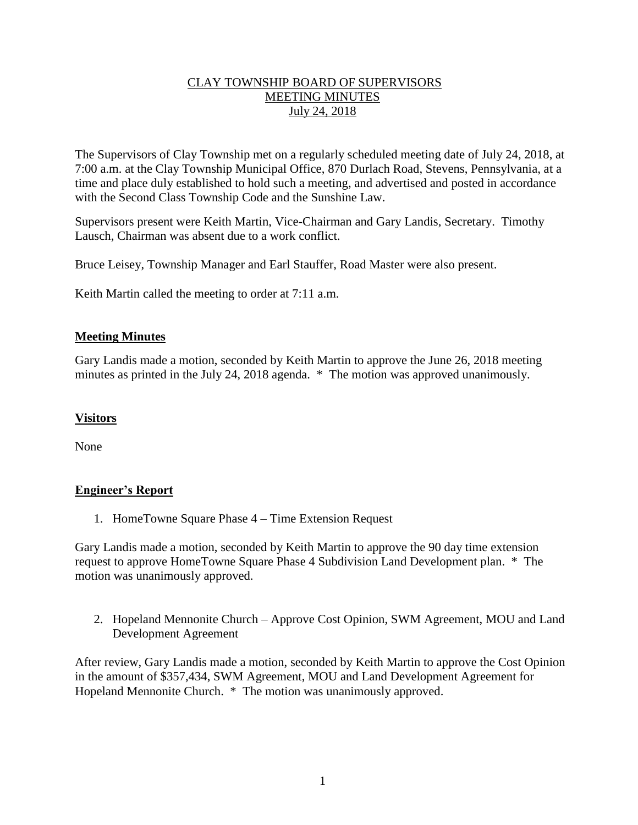## CLAY TOWNSHIP BOARD OF SUPERVISORS MEETING MINUTES July 24, 2018

The Supervisors of Clay Township met on a regularly scheduled meeting date of July 24, 2018, at 7:00 a.m. at the Clay Township Municipal Office, 870 Durlach Road, Stevens, Pennsylvania, at a time and place duly established to hold such a meeting, and advertised and posted in accordance with the Second Class Township Code and the Sunshine Law.

Supervisors present were Keith Martin, Vice-Chairman and Gary Landis, Secretary. Timothy Lausch, Chairman was absent due to a work conflict.

Bruce Leisey, Township Manager and Earl Stauffer, Road Master were also present.

Keith Martin called the meeting to order at 7:11 a.m.

### **Meeting Minutes**

Gary Landis made a motion, seconded by Keith Martin to approve the June 26, 2018 meeting minutes as printed in the July 24, 2018 agenda. \* The motion was approved unanimously.

#### **Visitors**

None

# **Engineer's Report**

1. HomeTowne Square Phase 4 – Time Extension Request

Gary Landis made a motion, seconded by Keith Martin to approve the 90 day time extension request to approve HomeTowne Square Phase 4 Subdivision Land Development plan. \* The motion was unanimously approved.

2. Hopeland Mennonite Church – Approve Cost Opinion, SWM Agreement, MOU and Land Development Agreement

After review, Gary Landis made a motion, seconded by Keith Martin to approve the Cost Opinion in the amount of \$357,434, SWM Agreement, MOU and Land Development Agreement for Hopeland Mennonite Church. \* The motion was unanimously approved.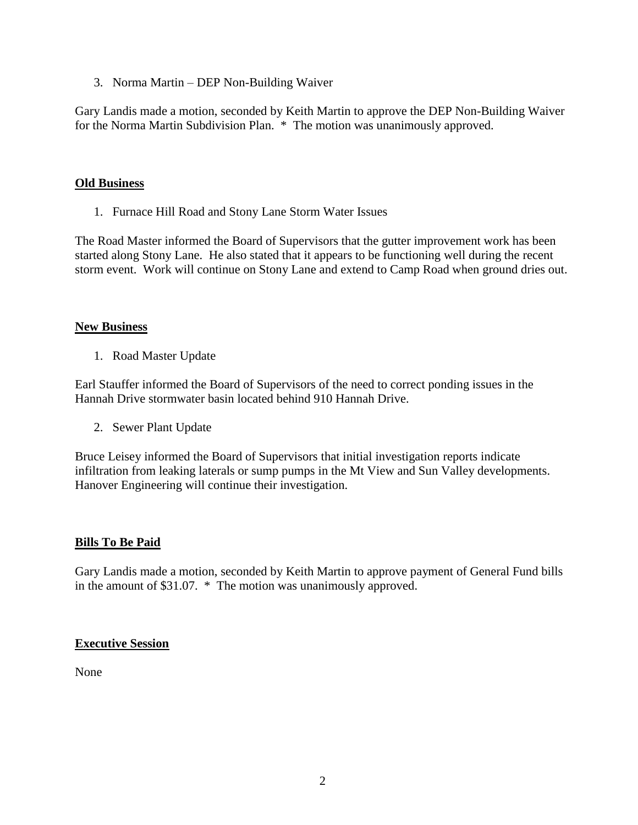3. Norma Martin – DEP Non-Building Waiver

Gary Landis made a motion, seconded by Keith Martin to approve the DEP Non-Building Waiver for the Norma Martin Subdivision Plan. \* The motion was unanimously approved.

#### **Old Business**

1. Furnace Hill Road and Stony Lane Storm Water Issues

The Road Master informed the Board of Supervisors that the gutter improvement work has been started along Stony Lane. He also stated that it appears to be functioning well during the recent storm event. Work will continue on Stony Lane and extend to Camp Road when ground dries out.

#### **New Business**

1. Road Master Update

Earl Stauffer informed the Board of Supervisors of the need to correct ponding issues in the Hannah Drive stormwater basin located behind 910 Hannah Drive.

2. Sewer Plant Update

Bruce Leisey informed the Board of Supervisors that initial investigation reports indicate infiltration from leaking laterals or sump pumps in the Mt View and Sun Valley developments. Hanover Engineering will continue their investigation.

#### **Bills To Be Paid**

Gary Landis made a motion, seconded by Keith Martin to approve payment of General Fund bills in the amount of \$31.07. \* The motion was unanimously approved.

#### **Executive Session**

None